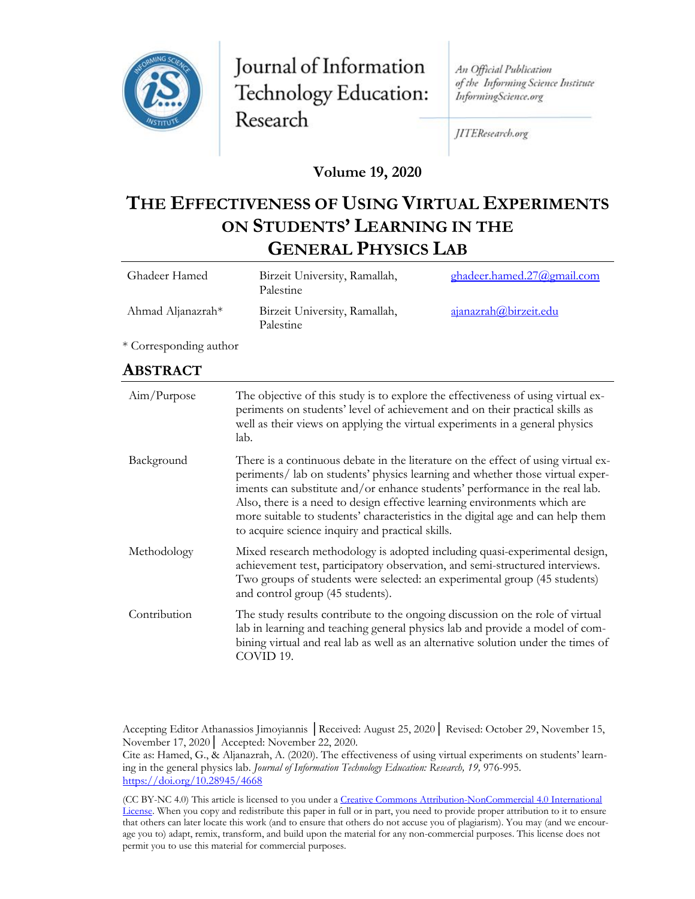

Journal of Information Technology Education: Research

An Official Publication of the Informing Science Institute InformingScience.org

JITEResearch.org

**Volume 19, 2020**

# **THE EFFECTIVENESS OF USING VIRTUAL EXPERIMENTS ON STUDENTS' LEARNING IN THE GENERAL PHYSICS LAB**

| Ghadeer Hamed     | Birzeit University, Ramallah,<br>Palestine | ghadeer.hamed.27@gmail.com |
|-------------------|--------------------------------------------|----------------------------|
| Ahmad Aljanazrah* | Birzeit University, Ramallah,<br>Palestine | ajanazrah@birzeit.edu      |

\* Corresponding author

#### **ABSTRACT**

| Aim/Purpose  | The objective of this study is to explore the effectiveness of using virtual ex-<br>periments on students' level of achievement and on their practical skills as<br>well as their views on applying the virtual experiments in a general physics<br>lab.                                                                                                                                                                                                              |
|--------------|-----------------------------------------------------------------------------------------------------------------------------------------------------------------------------------------------------------------------------------------------------------------------------------------------------------------------------------------------------------------------------------------------------------------------------------------------------------------------|
| Background   | There is a continuous debate in the literature on the effect of using virtual ex-<br>periments/ lab on students' physics learning and whether those virtual exper-<br>iments can substitute and/or enhance students' performance in the real lab.<br>Also, there is a need to design effective learning environments which are<br>more suitable to students' characteristics in the digital age and can help them<br>to acquire science inquiry and practical skills. |
| Methodology  | Mixed research methodology is adopted including quasi-experimental design,<br>achievement test, participatory observation, and semi-structured interviews.<br>Two groups of students were selected: an experimental group (45 students)<br>and control group (45 students).                                                                                                                                                                                           |
| Contribution | The study results contribute to the ongoing discussion on the role of virtual<br>lab in learning and teaching general physics lab and provide a model of com-<br>bining virtual and real lab as well as an alternative solution under the times of<br>COVID 19.                                                                                                                                                                                                       |

Accepting Editor Athanassios Jimoyiannis │Received: August 25, 2020│ Revised: October 29, November 15, November 17, 2020│ Accepted: November 22, 2020.

Cite as: Hamed, G., & Aljanazrah, A. (2020). The effectiveness of using virtual experiments on students' learning in the general physics lab. *Journal of Information Technology Education: Research, 19,* 976-995. <https://doi.org/10.28945/4668>

(CC BY-NC 4.0) This article is licensed to you under a [Creative Commons Attribution-NonCommercial 4.0 International](https://creativecommons.org/licenses/by-nc/4.0/)  [License](https://creativecommons.org/licenses/by-nc/4.0/). When you copy and redistribute this paper in full or in part, you need to provide proper attribution to it to ensure that others can later locate this work (and to ensure that others do not accuse you of plagiarism). You may (and we encourage you to) adapt, remix, transform, and build upon the material for any non-commercial purposes. This license does not permit you to use this material for commercial purposes.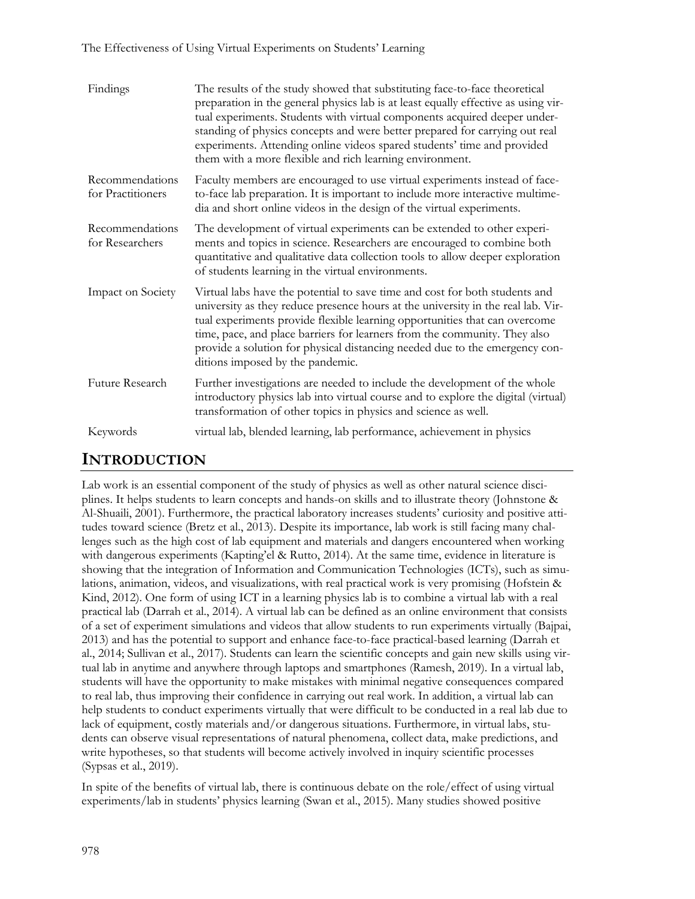#### The Effectiveness of Using Virtual Experiments on Students' Learning

| Findings                             | The results of the study showed that substituting face-to-face theoretical<br>preparation in the general physics lab is at least equally effective as using vir-<br>tual experiments. Students with virtual components acquired deeper under-<br>standing of physics concepts and were better prepared for carrying out real<br>experiments. Attending online videos spared students' time and provided<br>them with a more flexible and rich learning environment. |
|--------------------------------------|---------------------------------------------------------------------------------------------------------------------------------------------------------------------------------------------------------------------------------------------------------------------------------------------------------------------------------------------------------------------------------------------------------------------------------------------------------------------|
| Recommendations<br>for Practitioners | Faculty members are encouraged to use virtual experiments instead of face-<br>to-face lab preparation. It is important to include more interactive multime-<br>dia and short online videos in the design of the virtual experiments.                                                                                                                                                                                                                                |
| Recommendations<br>for Researchers   | The development of virtual experiments can be extended to other experi-<br>ments and topics in science. Researchers are encouraged to combine both<br>quantitative and qualitative data collection tools to allow deeper exploration<br>of students learning in the virtual environments.                                                                                                                                                                           |
| Impact on Society                    | Virtual labs have the potential to save time and cost for both students and<br>university as they reduce presence hours at the university in the real lab. Vir-<br>tual experiments provide flexible learning opportunities that can overcome<br>time, pace, and place barriers for learners from the community. They also<br>provide a solution for physical distancing needed due to the emergency con-<br>ditions imposed by the pandemic.                       |
| Future Research                      | Further investigations are needed to include the development of the whole<br>introductory physics lab into virtual course and to explore the digital (virtual)<br>transformation of other topics in physics and science as well.                                                                                                                                                                                                                                    |
| Keywords                             | virtual lab, blended learning, lab performance, achievement in physics                                                                                                                                                                                                                                                                                                                                                                                              |

## **INTRODUCTION**

Lab work is an essential component of the study of physics as well as other natural science disciplines. It helps students to learn concepts and hands-on skills and to illustrate theory (Johnstone & Al-Shuaili, 2001). Furthermore, the practical laboratory increases students' curiosity and positive attitudes toward science (Bretz et al., 2013). Despite its importance, lab work is still facing many challenges such as the high cost of lab equipment and materials and dangers encountered when working with dangerous experiments (Kapting'el & Rutto, 2014). At the same time, evidence in literature is showing that the integration of Information and Communication Technologies (ICTs), such as simulations, animation, videos, and visualizations, with real practical work is very promising (Hofstein & Kind, 2012). One form of using ICT in a learning physics lab is to combine a virtual lab with a real practical lab (Darrah et al., 2014). A virtual lab can be defined as an online environment that consists of a set of experiment simulations and videos that allow students to run experiments virtually (Bajpai, 2013) and has the potential to support and enhance face-to-face practical-based learning (Darrah et al., 2014; Sullivan et al., 2017). Students can learn the scientific concepts and gain new skills using virtual lab in anytime and anywhere through laptops and smartphones (Ramesh, 2019). In a virtual lab, students will have the opportunity to make mistakes with minimal negative consequences compared to real lab, thus improving their confidence in carrying out real work. In addition, a virtual lab can help students to conduct experiments virtually that were difficult to be conducted in a real lab due to lack of equipment, costly materials and/or dangerous situations. Furthermore, in virtual labs, students can observe visual representations of natural phenomena, collect data, make predictions, and write hypotheses, so that students will become actively involved in inquiry scientific processes (Sypsas et al., 2019).

In spite of the benefits of virtual lab, there is continuous debate on the role/effect of using virtual experiments/lab in students' physics learning (Swan et al., 2015). Many studies showed positive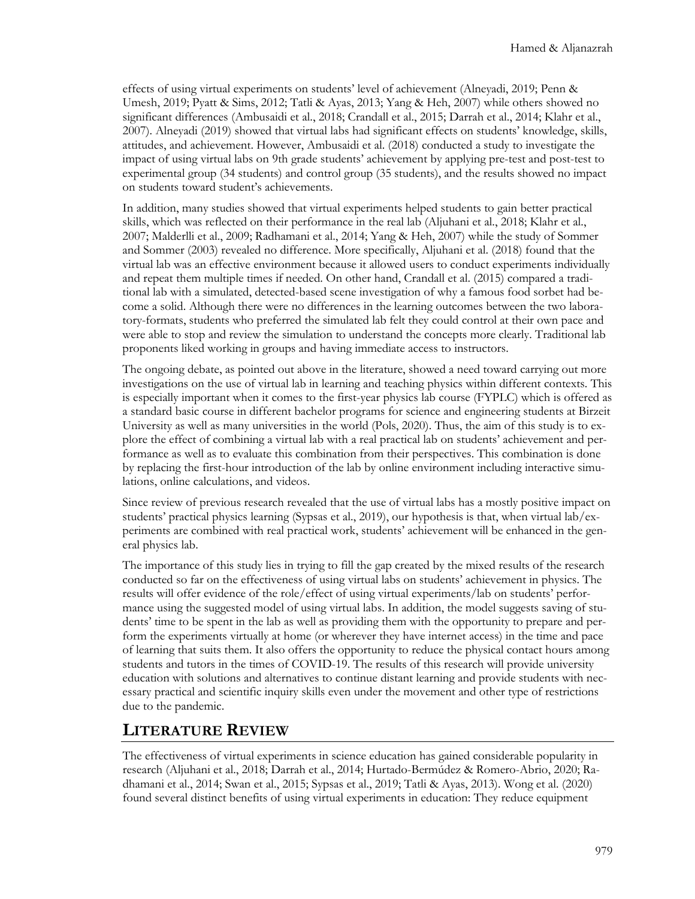effects of using virtual experiments on students' level of achievement (Alneyadi, 2019; Penn & Umesh, 2019; Pyatt & Sims, 2012; Tatli & Ayas, 2013; Yang & Heh, 2007) while others showed no significant differences (Ambusaidi et al., 2018; Crandall et al., 2015; Darrah et al., 2014; Klahr et al., 2007). Alneyadi (2019) showed that virtual labs had significant effects on students' knowledge, skills, attitudes, and achievement. However, Ambusaidi et al. (2018) conducted a study to investigate the impact of using virtual labs on 9th grade students' achievement by applying pre-test and post-test to experimental group (34 students) and control group (35 students), and the results showed no impact on students toward student's achievements.

In addition, many studies showed that virtual experiments helped students to gain better practical skills, which was reflected on their performance in the real lab (Aljuhani et al., 2018; Klahr et al., 2007; Malderlli et al., 2009; Radhamani et al., 2014; Yang & Heh, 2007) while the study of Sommer and Sommer (2003) revealed no difference. More specifically, Aljuhani et al. (2018) found that the virtual lab was an effective environment because it allowed users to conduct experiments individually and repeat them multiple times if needed. On other hand, Crandall et al. (2015) compared a traditional lab with a simulated, detected-based scene investigation of why a famous food sorbet had become a solid. Although there were no differences in the learning outcomes between the two laboratory-formats, students who preferred the simulated lab felt they could control at their own pace and were able to stop and review the simulation to understand the concepts more clearly. Traditional lab proponents liked working in groups and having immediate access to instructors.

The ongoing debate, as pointed out above in the literature, showed a need toward carrying out more investigations on the use of virtual lab in learning and teaching physics within different contexts. This is especially important when it comes to the first-year physics lab course (FYPLC) which is offered as a standard basic course in different bachelor programs for science and engineering students at Birzeit University as well as many universities in the world (Pols, 2020). Thus, the aim of this study is to explore the effect of combining a virtual lab with a real practical lab on students' achievement and performance as well as to evaluate this combination from their perspectives. This combination is done by replacing the first-hour introduction of the lab by online environment including interactive simulations, online calculations, and videos.

Since review of previous research revealed that the use of virtual labs has a mostly positive impact on students' practical physics learning (Sypsas et al., 2019), our hypothesis is that, when virtual lab/experiments are combined with real practical work, students' achievement will be enhanced in the general physics lab.

The importance of this study lies in trying to fill the gap created by the mixed results of the research conducted so far on the effectiveness of using virtual labs on students' achievement in physics. The results will offer evidence of the role/effect of using virtual experiments/lab on students' performance using the suggested model of using virtual labs. In addition, the model suggests saving of students' time to be spent in the lab as well as providing them with the opportunity to prepare and perform the experiments virtually at home (or wherever they have internet access) in the time and pace of learning that suits them. It also offers the opportunity to reduce the physical contact hours among students and tutors in the times of COVID-19. The results of this research will provide university education with solutions and alternatives to continue distant learning and provide students with necessary practical and scientific inquiry skills even under the movement and other type of restrictions due to the pandemic.

## **LITERATURE REVIEW**

The effectiveness of virtual experiments in science education has gained considerable popularity in research (Aljuhani et al., 2018; Darrah et al., 2014; Hurtado-Bermúdez & Romero-Abrio, 2020; Radhamani et al., 2014; Swan et al., 2015; Sypsas et al., 2019; Tatli & Ayas, 2013). Wong et al. (2020) found several distinct benefits of using virtual experiments in education: They reduce equipment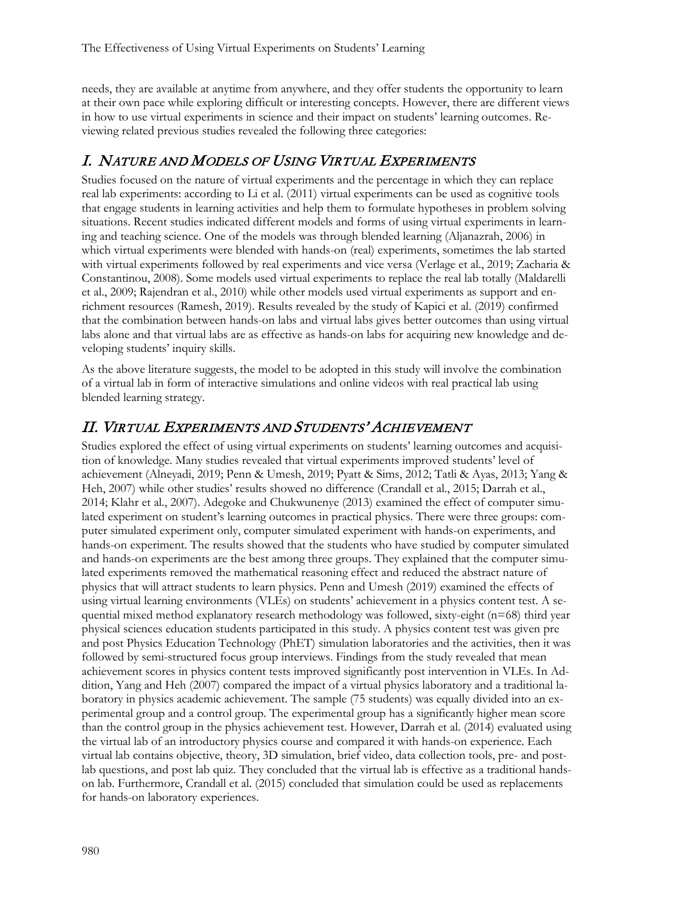needs, they are available at anytime from anywhere, and they offer students the opportunity to learn at their own pace while exploring difficult or interesting concepts. However, there are different views in how to use virtual experiments in science and their impact on students' learning outcomes. Reviewing related previous studies revealed the following three categories:

## I. NATURE AND MODELS OF USING VIRTUAL EXPERIMENTS

Studies focused on the nature of virtual experiments and the percentage in which they can replace real lab experiments: according to Li et al. (2011) virtual experiments can be used as cognitive tools that engage students in learning activities and help them to formulate hypotheses in problem solving situations. Recent studies indicated different models and forms of using virtual experiments in learning and teaching science. One of the models was through blended learning (Aljanazrah, 2006) in which virtual experiments were blended with hands-on (real) experiments, sometimes the lab started with virtual experiments followed by real experiments and vice versa (Verlage et al., 2019; Zacharia & Constantinou, 2008). Some models used virtual experiments to replace the real lab totally (Maldarelli et al., 2009; Rajendran et al., 2010) while other models used virtual experiments as support and enrichment resources (Ramesh, 2019). Results revealed by the study of Kapici et al. (2019) confirmed that the combination between hands-on labs and virtual labs gives better outcomes than using virtual labs alone and that virtual labs are as effective as hands-on labs for acquiring new knowledge and developing students' inquiry skills.

As the above literature suggests, the model to be adopted in this study will involve the combination of a virtual lab in form of interactive simulations and online videos with real practical lab using blended learning strategy.

## II. VIRTUAL EXPERIMENTS AND STUDENTS' ACHIEVEMENT

Studies explored the effect of using virtual experiments on students' learning outcomes and acquisition of knowledge. Many studies revealed that virtual experiments improved students' level of achievement (Alneyadi, 2019; Penn & Umesh, 2019; Pyatt & Sims, 2012; Tatli & Ayas, 2013; Yang & Heh, 2007) while other studies' results showed no difference (Crandall et al., 2015; Darrah et al., 2014; Klahr et al., 2007). Adegoke and Chukwunenye (2013) examined the effect of computer simulated experiment on student's learning outcomes in practical physics. There were three groups: computer simulated experiment only, computer simulated experiment with hands-on experiments, and hands-on experiment. The results showed that the students who have studied by computer simulated and hands-on experiments are the best among three groups. They explained that the computer simulated experiments removed the mathematical reasoning effect and reduced the abstract nature of physics that will attract students to learn physics. Penn and Umesh (2019) examined the effects of using virtual learning environments (VLEs) on students' achievement in a physics content test. A sequential mixed method explanatory research methodology was followed, sixty-eight (n=68) third year physical sciences education students participated in this study. A physics content test was given pre and post Physics Education Technology (PhET) simulation laboratories and the activities, then it was followed by semi-structured focus group interviews. Findings from the study revealed that mean achievement scores in physics content tests improved significantly post intervention in VLEs. In Addition, Yang and Heh (2007) compared the impact of a virtual physics laboratory and a traditional laboratory in physics academic achievement. The sample (75 students) was equally divided into an experimental group and a control group. The experimental group has a significantly higher mean score than the control group in the physics achievement test. However, Darrah et al. (2014) evaluated using the virtual lab of an introductory physics course and compared it with hands-on experience. Each virtual lab contains objective, theory, 3D simulation, brief video, data collection tools, pre- and postlab questions, and post lab quiz. They concluded that the virtual lab is effective as a traditional handson lab. Furthermore, Crandall et al. (2015) concluded that simulation could be used as replacements for hands-on laboratory experiences.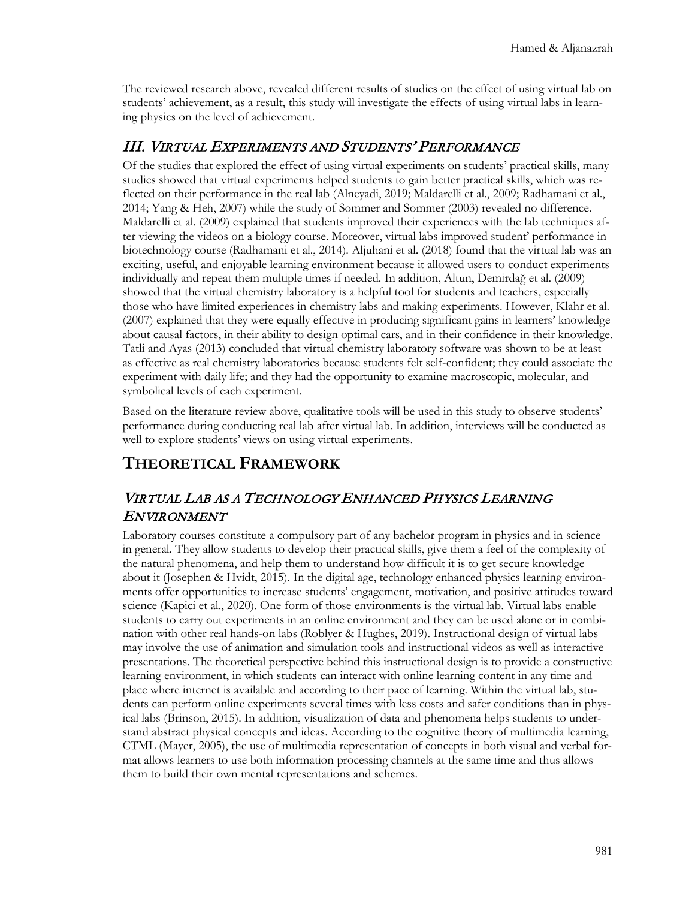The reviewed research above, revealed different results of studies on the effect of using virtual lab on students' achievement, as a result, this study will investigate the effects of using virtual labs in learning physics on the level of achievement.

### III. VIRTUAL EXPERIMENTS AND STUDENTS' PERFORMANCE

Of the studies that explored the effect of using virtual experiments on students' practical skills, many studies showed that virtual experiments helped students to gain better practical skills, which was reflected on their performance in the real lab (Alneyadi, 2019; Maldarelli et al., 2009; Radhamani et al., 2014; Yang & Heh, 2007) while the study of Sommer and Sommer (2003) revealed no difference. Maldarelli et al. (2009) explained that students improved their experiences with the lab techniques after viewing the videos on a biology course. Moreover, virtual labs improved student' performance in biotechnology course (Radhamani et al., 2014). Aljuhani et al. (2018) found that the virtual lab was an exciting, useful, and enjoyable learning environment because it allowed users to conduct experiments individually and repeat them multiple times if needed. In addition, Altun, Demirdağ et al. (2009) showed that the virtual chemistry laboratory is a helpful tool for students and teachers, especially those who have limited experiences in chemistry labs and making experiments. However, Klahr et al. (2007) explained that they were equally effective in producing significant gains in learners' knowledge about causal factors, in their ability to design optimal cars, and in their confidence in their knowledge. Tatli and Ayas (2013) concluded that virtual chemistry laboratory software was shown to be at least as effective as real chemistry laboratories because students felt self-confident; they could associate the experiment with daily life; and they had the opportunity to examine macroscopic, molecular, and symbolical levels of each experiment.

Based on the literature review above, qualitative tools will be used in this study to observe students' performance during conducting real lab after virtual lab. In addition, interviews will be conducted as well to explore students' views on using virtual experiments.

## **THEORETICAL FRAMEWORK**

### VIRTUAL LAB AS A TECHNOLOGY ENHANCED PHYSICS LEARNING ENVIRONMENT

Laboratory courses constitute a compulsory part of any bachelor program in physics and in science in general. They allow students to develop their practical skills, give them a feel of the complexity of the natural phenomena, and help them to understand how difficult it is to get secure knowledge about it (Josephen & Hvidt, 2015). In the digital age, technology enhanced physics learning environments offer opportunities to increase students' engagement, motivation, and positive attitudes toward science (Kapici et al., 2020). One form of those environments is the virtual lab. Virtual labs enable students to carry out experiments in an online environment and they can be used alone or in combination with other real hands-on labs (Roblyer & Hughes, 2019). Instructional design of virtual labs may involve the use of animation and simulation tools and instructional videos as well as interactive presentations. The theoretical perspective behind this instructional design is to provide a constructive learning environment, in which students can interact with online learning content in any time and place where internet is available and according to their pace of learning. Within the virtual lab, students can perform online experiments several times with less costs and safer conditions than in physical labs (Brinson, 2015). In addition, visualization of data and phenomena helps students to understand abstract physical concepts and ideas. According to the cognitive theory of multimedia learning, CTML (Mayer, 2005), the use of multimedia representation of concepts in both visual and verbal format allows learners to use both information processing channels at the same time and thus allows them to build their own mental representations and schemes.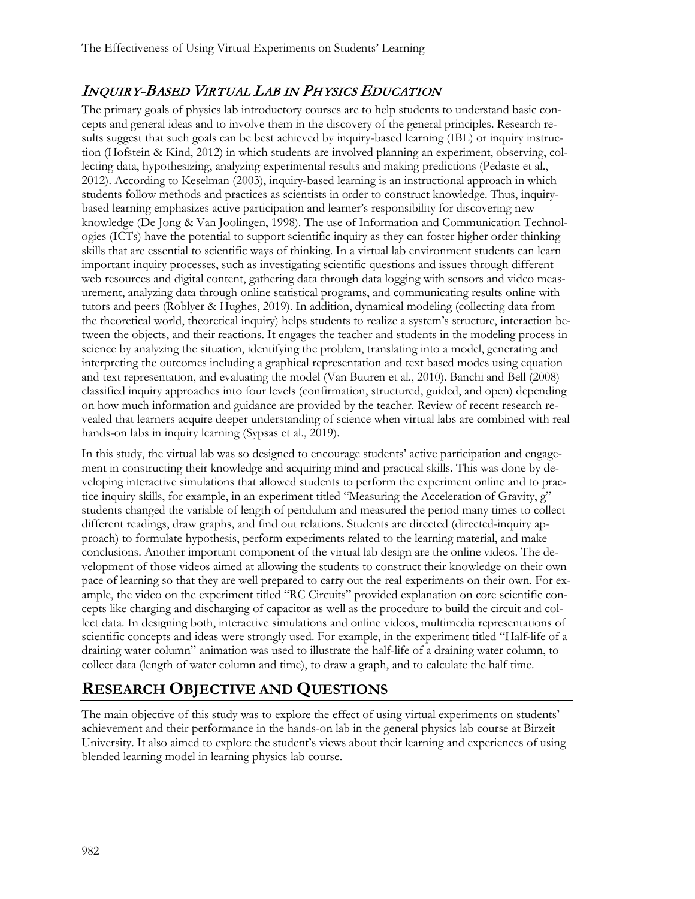## INQUIRY-BASED VIRTUAL LAB IN PHYSICS EDUCATION

The primary goals of physics lab introductory courses are to help students to understand basic concepts and general ideas and to involve them in the discovery of the general principles. Research results suggest that such goals can be best achieved by inquiry-based learning (IBL) or inquiry instruction (Hofstein & Kind, 2012) in which students are involved planning an experiment, observing, collecting data, hypothesizing, analyzing experimental results and making predictions (Pedaste et al., 2012). According to Keselman (2003), inquiry-based learning is an instructional approach in which students follow methods and practices as scientists in order to construct knowledge. Thus, inquirybased learning emphasizes active participation and learner's responsibility for discovering new knowledge (De Jong & Van Joolingen, 1998). The use of Information and Communication Technologies (ICTs) have the potential to support scientific inquiry as they can foster higher order thinking skills that are essential to scientific ways of thinking. In a virtual lab environment students can learn important inquiry processes, such as investigating scientific questions and issues through different web resources and digital content, gathering data through data logging with sensors and video measurement, analyzing data through online statistical programs, and communicating results online with tutors and peers (Roblyer & Hughes, 2019). In addition, dynamical modeling (collecting data from the theoretical world, theoretical inquiry) helps students to realize a system's structure, interaction between the objects, and their reactions. It engages the teacher and students in the modeling process in science by analyzing the situation, identifying the problem, translating into a model, generating and interpreting the outcomes including a graphical representation and text based modes using equation and text representation, and evaluating the model (Van Buuren et al., 2010). Banchi and Bell (2008) classified inquiry approaches into four levels (confirmation, structured, guided, and open) depending on how much information and guidance are provided by the teacher. Review of recent research revealed that learners acquire deeper understanding of science when virtual labs are combined with real hands-on labs in inquiry learning (Sypsas et al., 2019).

In this study, the virtual lab was so designed to encourage students' active participation and engagement in constructing their knowledge and acquiring mind and practical skills. This was done by developing interactive simulations that allowed students to perform the experiment online and to practice inquiry skills, for example, in an experiment titled "Measuring the Acceleration of Gravity, g" students changed the variable of length of pendulum and measured the period many times to collect different readings, draw graphs, and find out relations. Students are directed (directed-inquiry approach) to formulate hypothesis, perform experiments related to the learning material, and make conclusions. Another important component of the virtual lab design are the online videos. The development of those videos aimed at allowing the students to construct their knowledge on their own pace of learning so that they are well prepared to carry out the real experiments on their own. For example, the video on the experiment titled "RC Circuits" provided explanation on core scientific concepts like charging and discharging of capacitor as well as the procedure to build the circuit and collect data. In designing both, interactive simulations and online videos, multimedia representations of scientific concepts and ideas were strongly used. For example, in the experiment titled "Half-life of a draining water column" animation was used to illustrate the half-life of a draining water column, to collect data (length of water column and time), to draw a graph, and to calculate the half time.

# **RESEARCH OBJECTIVE AND QUESTIONS**

The main objective of this study was to explore the effect of using virtual experiments on students' achievement and their performance in the hands-on lab in the general physics lab course at Birzeit University. It also aimed to explore the student's views about their learning and experiences of using blended learning model in learning physics lab course.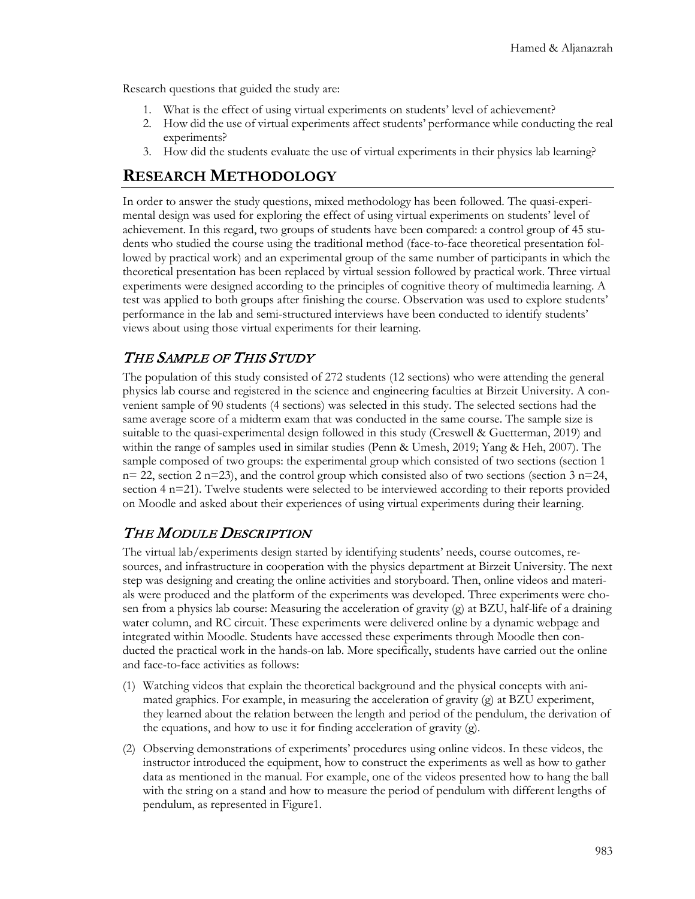Research questions that guided the study are:

- 1. What is the effect of using virtual experiments on students' level of achievement?
- 2. How did the use of virtual experiments affect students' performance while conducting the real experiments?
- 3. How did the students evaluate the use of virtual experiments in their physics lab learning?

## **RESEARCH METHODOLOGY**

In order to answer the study questions, mixed methodology has been followed. The quasi-experimental design was used for exploring the effect of using virtual experiments on students' level of achievement. In this regard, two groups of students have been compared: a control group of 45 students who studied the course using the traditional method (face-to-face theoretical presentation followed by practical work) and an experimental group of the same number of participants in which the theoretical presentation has been replaced by virtual session followed by practical work. Three virtual experiments were designed according to the principles of cognitive theory of multimedia learning. A test was applied to both groups after finishing the course. Observation was used to explore students' performance in the lab and semi-structured interviews have been conducted to identify students' views about using those virtual experiments for their learning.

### THE SAMPLE OF THIS STUDY

The population of this study consisted of 272 students (12 sections) who were attending the general physics lab course and registered in the science and engineering faculties at Birzeit University. A convenient sample of 90 students (4 sections) was selected in this study. The selected sections had the same average score of a midterm exam that was conducted in the same course. The sample size is suitable to the quasi-experimental design followed in this study (Creswell & Guetterman, 2019) and within the range of samples used in similar studies (Penn & Umesh, 2019; Yang & Heh, 2007). The sample composed of two groups: the experimental group which consisted of two sections (section 1  $n= 22$ , section 2 n=23), and the control group which consisted also of two sections (section 3 n=24, section 4 n=21). Twelve students were selected to be interviewed according to their reports provided on Moodle and asked about their experiences of using virtual experiments during their learning.

### THE MODULE DESCRIPTION

The virtual lab/experiments design started by identifying students' needs, course outcomes, resources, and infrastructure in cooperation with the physics department at Birzeit University. The next step was designing and creating the online activities and storyboard. Then, online videos and materials were produced and the platform of the experiments was developed. Three experiments were chosen from a physics lab course: Measuring the acceleration of gravity (g) at BZU, half-life of a draining water column, and RC circuit. These experiments were delivered online by a dynamic webpage and integrated within Moodle. Students have accessed these experiments through Moodle then conducted the practical work in the hands-on lab. More specifically, students have carried out the online and face-to-face activities as follows:

- (1) Watching videos that explain the theoretical background and the physical concepts with animated graphics. For example, in measuring the acceleration of gravity (g) at BZU experiment, they learned about the relation between the length and period of the pendulum, the derivation of the equations, and how to use it for finding acceleration of gravity (g).
- (2) Observing demonstrations of experiments' procedures using online videos. In these videos, the instructor introduced the equipment, how to construct the experiments as well as how to gather data as mentioned in the manual. For example, one of the videos presented how to hang the ball with the string on a stand and how to measure the period of pendulum with different lengths of pendulum, as represented in Figure1.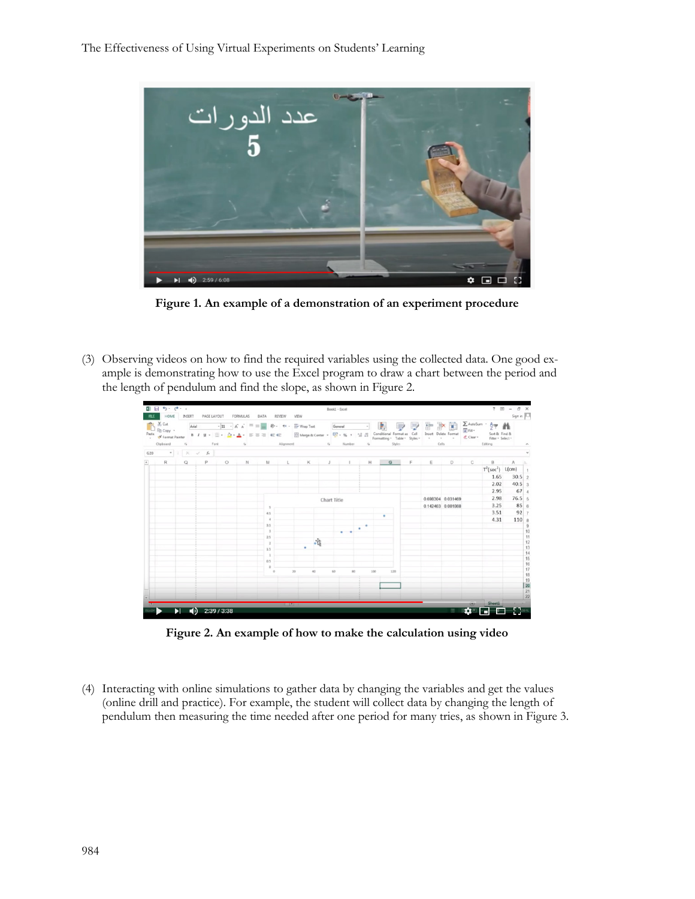

**Figure 1. An example of a demonstration of an experiment procedure**

(3) Observing videos on how to find the required variables using the collected data. One good example is demonstrating how to use the Excel program to draw a chart between the period and the length of pendulum and find the slope, as shown in Figure 2.



**Figure 2. An example of how to make the calculation using video**

(4) Interacting with online simulations to gather data by changing the variables and get the values (online drill and practice). For example, the student will collect data by changing the length of pendulum then measuring the time needed after one period for many tries, as shown in Figure 3.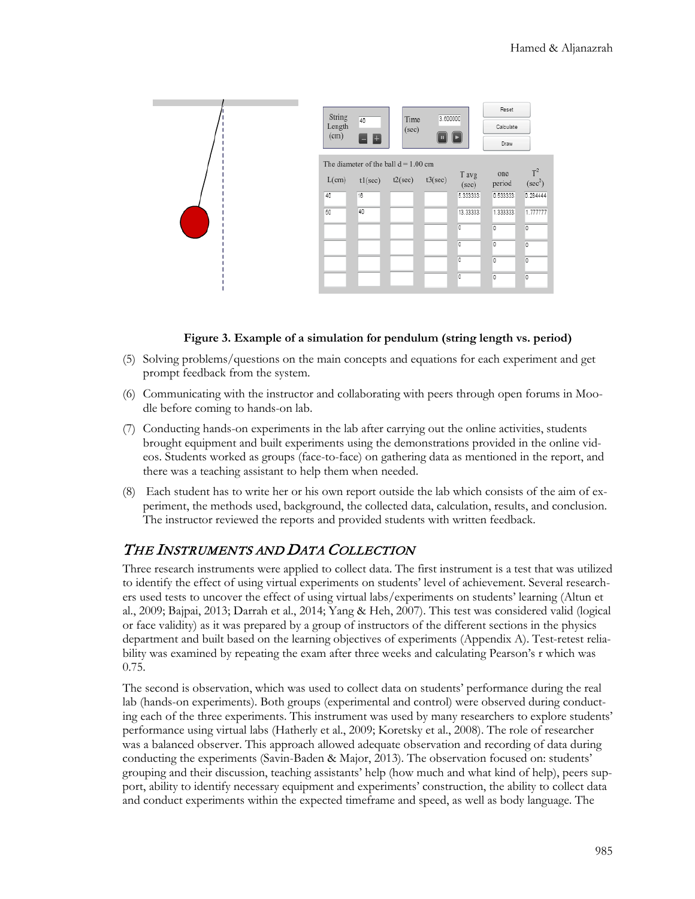

#### **Figure 3. Example of a simulation for pendulum (string length vs. period)**

- (5) Solving problems/questions on the main concepts and equations for each experiment and get prompt feedback from the system.
- (6) Communicating with the instructor and collaborating with peers through open forums in Moodle before coming to hands-on lab.
- (7) Conducting hands-on experiments in the lab after carrying out the online activities, students brought equipment and built experiments using the demonstrations provided in the online videos. Students worked as groups (face-to-face) on gathering data as mentioned in the report, and there was a teaching assistant to help them when needed.
- (8) Each student has to write her or his own report outside the lab which consists of the aim of experiment, the methods used, background, the collected data, calculation, results, and conclusion. The instructor reviewed the reports and provided students with written feedback.

#### THE INSTRUMENTS AND DATA COLLECTION

Three research instruments were applied to collect data. The first instrument is a test that was utilized to identify the effect of using virtual experiments on students' level of achievement. Several researchers used tests to uncover the effect of using virtual labs/experiments on students' learning (Altun et al., 2009; Bajpai, 2013; Darrah et al., 2014; Yang & Heh, 2007). This test was considered valid (logical or face validity) as it was prepared by a group of instructors of the different sections in the physics department and built based on the learning objectives of experiments (Appendix A). Test-retest reliability was examined by repeating the exam after three weeks and calculating Pearson's r which was 0.75.

The second is observation, which was used to collect data on students' performance during the real lab (hands-on experiments). Both groups (experimental and control) were observed during conducting each of the three experiments. This instrument was used by many researchers to explore students' performance using virtual labs (Hatherly et al., 2009; Koretsky et al., 2008). The role of researcher was a balanced observer. This approach allowed adequate observation and recording of data during conducting the experiments (Savin-Baden & Major, 2013). The observation focused on: students' grouping and their discussion, teaching assistants' help (how much and what kind of help), peers support, ability to identify necessary equipment and experiments' construction, the ability to collect data and conduct experiments within the expected timeframe and speed, as well as body language. The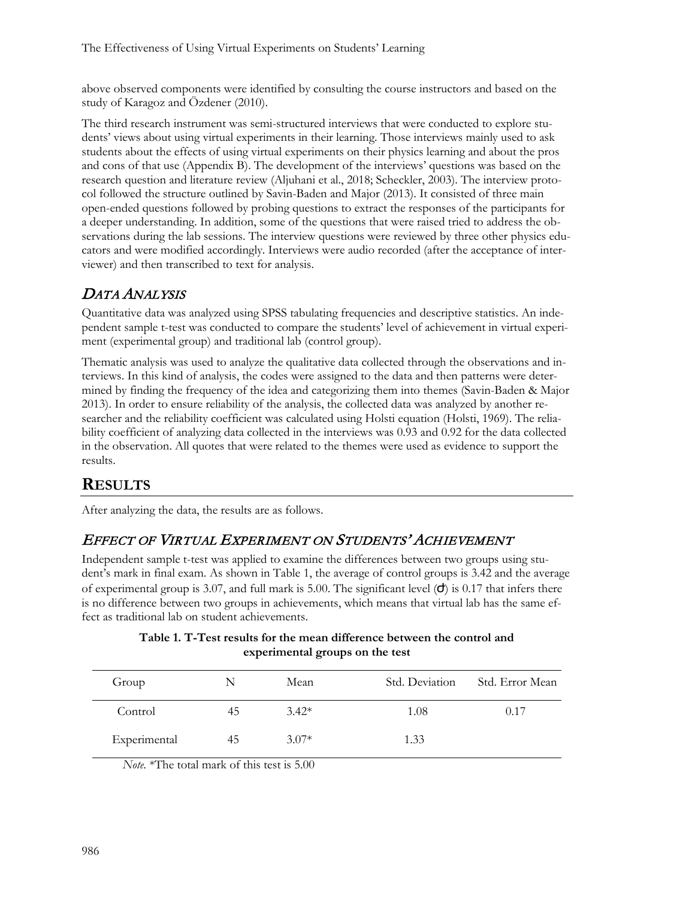above observed components were identified by consulting the course instructors and based on the study of Karagoz and Özdener (2010).

The third research instrument was semi-structured interviews that were conducted to explore students' views about using virtual experiments in their learning. Those interviews mainly used to ask students about the effects of using virtual experiments on their physics learning and about the pros and cons of that use (Appendix B). The development of the interviews' questions was based on the research question and literature review (Aljuhani et al., 2018; Scheckler, 2003). The interview protocol followed the structure outlined by Savin-Baden and Major (2013). It consisted of three main open-ended questions followed by probing questions to extract the responses of the participants for a deeper understanding. In addition, some of the questions that were raised tried to address the observations during the lab sessions. The interview questions were reviewed by three other physics educators and were modified accordingly. Interviews were audio recorded (after the acceptance of interviewer) and then transcribed to text for analysis.

## DATA ANALYSIS

Quantitative data was analyzed using SPSS tabulating frequencies and descriptive statistics. An independent sample t-test was conducted to compare the students' level of achievement in virtual experiment (experimental group) and traditional lab (control group).

Thematic analysis was used to analyze the qualitative data collected through the observations and interviews. In this kind of analysis, the codes were assigned to the data and then patterns were determined by finding the frequency of the idea and categorizing them into themes (Savin-Baden & Major 2013). In order to ensure reliability of the analysis, the collected data was analyzed by another researcher and the reliability coefficient was calculated using Holsti equation (Holsti, 1969). The reliability coefficient of analyzing data collected in the interviews was 0.93 and 0.92 for the data collected in the observation. All quotes that were related to the themes were used as evidence to support the results.

# **RESULTS**

After analyzing the data, the results are as follows.

## EFFECT OF VIRTUAL EXPERIMENT ON STUDENTS' ACHIEVEMENT

Independent sample t-test was applied to examine the differences between two groups using student's mark in final exam. As shown in Table 1, the average of control groups is 3.42 and the average of experimental group is 3.07, and full mark is 5.00. The significant level  $(d)$  is 0.17 that infers there is no difference between two groups in achievements, which means that virtual lab has the same effect as traditional lab on student achievements.

| Group        | N  | Mean    | Std. Deviation | Std. Error Mean |
|--------------|----|---------|----------------|-----------------|
| Control      | 45 | $3.42*$ | 1.08           | 0.17            |
| Experimental | 45 | $3.07*$ | 1.33           |                 |

**Table 1. T-Test results for the mean difference between the control and experimental groups on the test**

*Note.* \*The total mark of this test is 5.00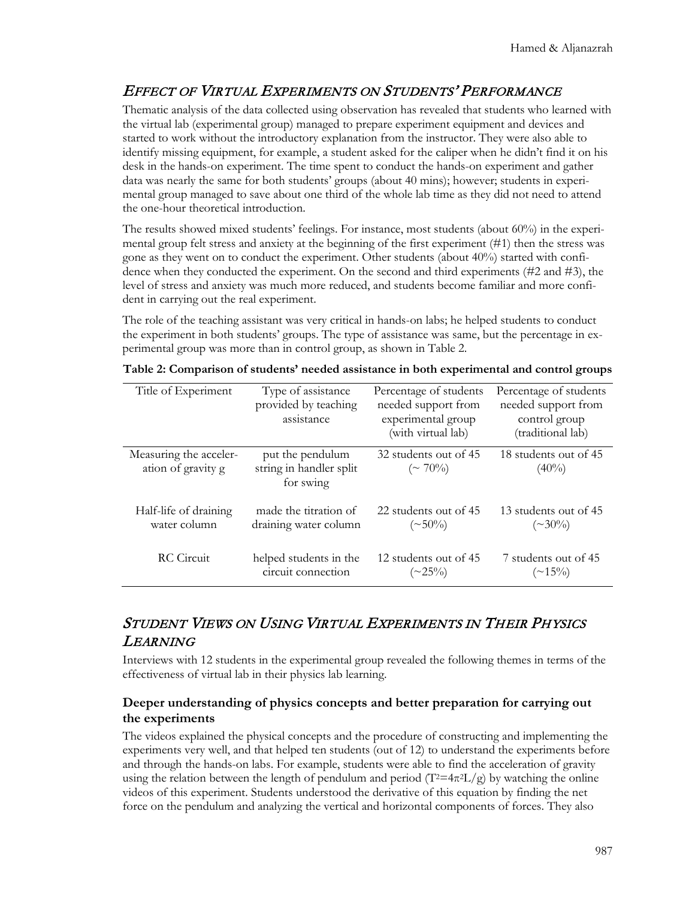## EFFECT OF VIRTUAL EXPERIMENTS ON STUDENTS' PERFORMANCE

Thematic analysis of the data collected using observation has revealed that students who learned with the virtual lab (experimental group) managed to prepare experiment equipment and devices and started to work without the introductory explanation from the instructor. They were also able to identify missing equipment, for example, a student asked for the caliper when he didn't find it on his desk in the hands-on experiment. The time spent to conduct the hands-on experiment and gather data was nearly the same for both students' groups (about 40 mins); however; students in experimental group managed to save about one third of the whole lab time as they did not need to attend the one-hour theoretical introduction.

The results showed mixed students' feelings. For instance, most students (about 60%) in the experimental group felt stress and anxiety at the beginning of the first experiment (#1) then the stress was gone as they went on to conduct the experiment. Other students (about 40%) started with confidence when they conducted the experiment. On the second and third experiments (#2 and #3), the level of stress and anxiety was much more reduced, and students become familiar and more confident in carrying out the real experiment.

The role of the teaching assistant was very critical in hands-on labs; he helped students to conduct the experiment in both students' groups. The type of assistance was same, but the percentage in experimental group was more than in control group, as shown in Table 2.

| Title of Experiment                          | Type of assistance<br>provided by teaching<br>assistance | Percentage of students<br>needed support from<br>experimental group<br>(with virtual lab) | Percentage of students<br>needed support from<br>control group<br>(traditional lab) |
|----------------------------------------------|----------------------------------------------------------|-------------------------------------------------------------------------------------------|-------------------------------------------------------------------------------------|
| Measuring the acceler-<br>ation of gravity g | put the pendulum<br>string in handler split<br>for swing | 32 students out of 45<br>$(\sim 70\%)$                                                    | 18 students out of 45<br>$(40\%)$                                                   |
| Half-life of draining                        | made the titration of                                    | 22 students out of 45                                                                     | 13 students out of 45                                                               |
| water column                                 | draining water column                                    | $(\sim 50\%)$                                                                             | $(\sim 30\%)$                                                                       |
| RC Circuit                                   | helped students in the                                   | 12 students out of 45                                                                     | 7 students out of 45                                                                |
|                                              | circuit connection                                       | $(\sim\!\!25\%)$                                                                          | $(\sim 15\%)$                                                                       |

**Table 2: Comparison of students' needed assistance in both experimental and control groups**

## STUDENT VIEWS ON USING VIRTUAL EXPERIMENTS IN THEIR PHYSICS LEARNING

Interviews with 12 students in the experimental group revealed the following themes in terms of the effectiveness of virtual lab in their physics lab learning.

#### **Deeper understanding of physics concepts and better preparation for carrying out the experiments**

The videos explained the physical concepts and the procedure of constructing and implementing the experiments very well, and that helped ten students (out of 12) to understand the experiments before and through the hands-on labs. For example, students were able to find the acceleration of gravity using the relation between the length of pendulum and period  $(T^2=4\pi^2L/g)$  by watching the online videos of this experiment. Students understood the derivative of this equation by finding the net force on the pendulum and analyzing the vertical and horizontal components of forces. They also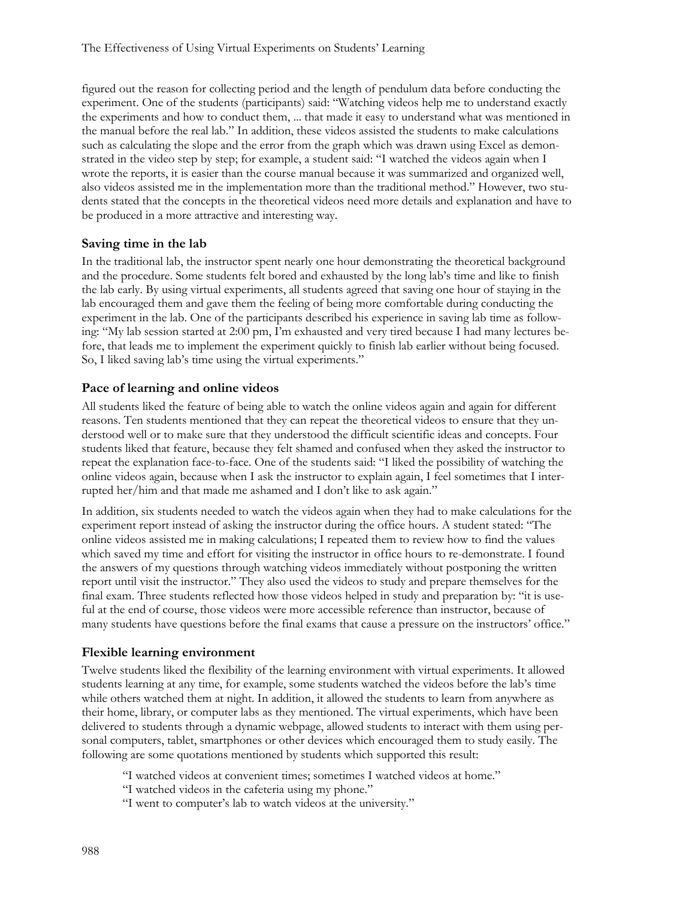figured out the reason for collecting period and the length of pendulum data before conducting the experiment. One of the students (participants) said: "Watching videos help me to understand exactly the experiments and how to conduct them, ... that made it easy to understand what was mentioned in the manual before the real lab." In addition, these videos assisted the students to make calculations such as calculating the slope and the error from the graph which was drawn using Excel as demonstrated in the video step by step; for example, a student said: "I watched the videos again when I wrote the reports, it is easier than the course manual because it was summarized and organized well, also videos assisted me in the implementation more than the traditional method." However, two students stated that the concepts in the theoretical videos need more details and explanation and have to be produced in a more attractive and interesting way.

#### **Saving time in the lab**

In the traditional lab, the instructor spent nearly one hour demonstrating the theoretical background and the procedure. Some students felt bored and exhausted by the long lab's time and like to finish the lab early. By using virtual experiments, all students agreed that saving one hour of staying in the lab encouraged them and gave them the feeling of being more comfortable during conducting the experiment in the lab. One of the participants described his experience in saving lab time as following: "My lab session started at 2:00 pm, I'm exhausted and very tired because I had many lectures before, that leads me to implement the experiment quickly to finish lab earlier without being focused. So, I liked saving lab's time using the virtual experiments."

#### **Pace of learning and online videos**

All students liked the feature of being able to watch the online videos again and again for different reasons. Ten students mentioned that they can repeat the theoretical videos to ensure that they understood well or to make sure that they understood the difficult scientific ideas and concepts. Four students liked that feature, because they felt shamed and confused when they asked the instructor to repeat the explanation face-to-face. One of the students said: "I liked the possibility of watching the online videos again, because when I ask the instructor to explain again, I feel sometimes that I interrupted her/him and that made me ashamed and I don't like to ask again."

In addition, six students needed to watch the videos again when they had to make calculations for the experiment report instead of asking the instructor during the office hours. A student stated: "The online videos assisted me in making calculations; I repeated them to review how to find the values which saved my time and effort for visiting the instructor in office hours to re-demonstrate. I found the answers of my questions through watching videos immediately without postponing the written report until visit the instructor." They also used the videos to study and prepare themselves for the final exam. Three students reflected how those videos helped in study and preparation by: "it is useful at the end of course, those videos were more accessible reference than instructor, because of many students have questions before the final exams that cause a pressure on the instructors' office."

#### **Flexible learning environment**

Twelve students liked the flexibility of the learning environment with virtual experiments. It allowed students learning at any time, for example, some students watched the videos before the lab's time while others watched them at night. In addition, it allowed the students to learn from anywhere as their home, library, or computer labs as they mentioned. The virtual experiments, which have been delivered to students through a dynamic webpage, allowed students to interact with them using personal computers, tablet, smartphones or other devices which encouraged them to study easily. The following are some quotations mentioned by students which supported this result:

- "I watched videos at convenient times; sometimes I watched videos at home."
- "I watched videos in the cafeteria using my phone."
- "I went to computer's lab to watch videos at the university."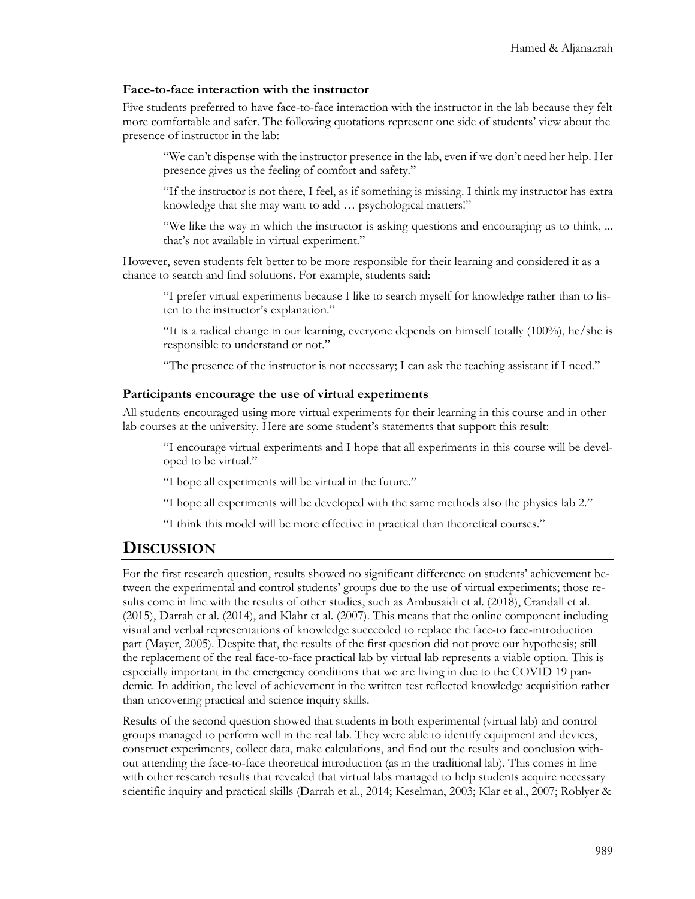#### **Face-to-face interaction with the instructor**

Five students preferred to have face-to-face interaction with the instructor in the lab because they felt more comfortable and safer. The following quotations represent one side of students' view about the presence of instructor in the lab:

"We can't dispense with the instructor presence in the lab, even if we don't need her help. Her presence gives us the feeling of comfort and safety."

"If the instructor is not there, I feel, as if something is missing. I think my instructor has extra knowledge that she may want to add … psychological matters!"

"We like the way in which the instructor is asking questions and encouraging us to think, ... that's not available in virtual experiment."

However, seven students felt better to be more responsible for their learning and considered it as a chance to search and find solutions. For example, students said:

"I prefer virtual experiments because I like to search myself for knowledge rather than to listen to the instructor's explanation."

"It is a radical change in our learning, everyone depends on himself totally (100%), he/she is responsible to understand or not."

"The presence of the instructor is not necessary; I can ask the teaching assistant if I need."

#### **Participants encourage the use of virtual experiments**

All students encouraged using more virtual experiments for their learning in this course and in other lab courses at the university. Here are some student's statements that support this result:

"I encourage virtual experiments and I hope that all experiments in this course will be developed to be virtual."

"I hope all experiments will be virtual in the future."

"I hope all experiments will be developed with the same methods also the physics lab 2."

"I think this model will be more effective in practical than theoretical courses."

#### **DISCUSSION**

For the first research question, results showed no significant difference on students' achievement between the experimental and control students' groups due to the use of virtual experiments; those results come in line with the results of other studies, such as Ambusaidi et al. (2018), Crandall et al. (2015), Darrah et al. (2014), and Klahr et al. (2007). This means that the online component including visual and verbal representations of knowledge succeeded to replace the face-to face-introduction part (Mayer, 2005). Despite that, the results of the first question did not prove our hypothesis; still the replacement of the real face-to-face practical lab by virtual lab represents a viable option. This is especially important in the emergency conditions that we are living in due to the COVID 19 pandemic. In addition, the level of achievement in the written test reflected knowledge acquisition rather than uncovering practical and science inquiry skills.

Results of the second question showed that students in both experimental (virtual lab) and control groups managed to perform well in the real lab. They were able to identify equipment and devices, construct experiments, collect data, make calculations, and find out the results and conclusion without attending the face-to-face theoretical introduction (as in the traditional lab). This comes in line with other research results that revealed that virtual labs managed to help students acquire necessary scientific inquiry and practical skills (Darrah et al., 2014; Keselman, 2003; Klar et al., 2007; Roblyer &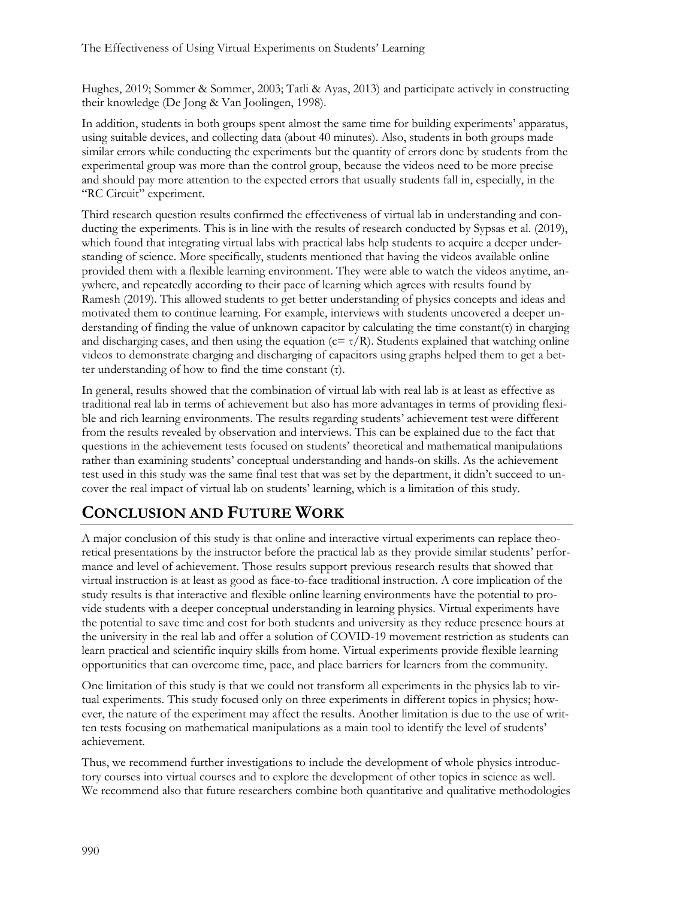Hughes, 2019; Sommer & Sommer, 2003; Tatli & Ayas, 2013) and participate actively in constructing their knowledge (De Jong & Van Joolingen, 1998).

In addition, students in both groups spent almost the same time for building experiments' apparatus, using suitable devices, and collecting data (about 40 minutes). Also, students in both groups made similar errors while conducting the experiments but the quantity of errors done by students from the experimental group was more than the control group, because the videos need to be more precise and should pay more attention to the expected errors that usually students fall in, especially, in the "RC Circuit" experiment.

Third research question results confirmed the effectiveness of virtual lab in understanding and conducting the experiments. This is in line with the results of research conducted by Sypsas et al. (2019), which found that integrating virtual labs with practical labs help students to acquire a deeper understanding of science. More specifically, students mentioned that having the videos available online provided them with a flexible learning environment. They were able to watch the videos anytime, anywhere, and repeatedly according to their pace of learning which agrees with results found by Ramesh (2019). This allowed students to get better understanding of physics concepts and ideas and motivated them to continue learning. For example, interviews with students uncovered a deeper understanding of finding the value of unknown capacitor by calculating the time constant(τ) in charging and discharging cases, and then using the equation ( $c = \tau/R$ ). Students explained that watching online videos to demonstrate charging and discharging of capacitors using graphs helped them to get a better understanding of how to find the time constant (τ).

In general, results showed that the combination of virtual lab with real lab is at least as effective as traditional real lab in terms of achievement but also has more advantages in terms of providing flexible and rich learning environments. The results regarding students' achievement test were different from the results revealed by observation and interviews. This can be explained due to the fact that questions in the achievement tests focused on students' theoretical and mathematical manipulations rather than examining students' conceptual understanding and hands-on skills. As the achievement test used in this study was the same final test that was set by the department, it didn't succeed to uncover the real impact of virtual lab on students' learning, which is a limitation of this study.

## **CONCLUSION AND FUTURE WORK**

A major conclusion of this study is that online and interactive virtual experiments can replace theoretical presentations by the instructor before the practical lab as they provide similar students' performance and level of achievement. Those results support previous research results that showed that virtual instruction is at least as good as face-to-face traditional instruction. A core implication of the study results is that interactive and flexible online learning environments have the potential to provide students with a deeper conceptual understanding in learning physics. Virtual experiments have the potential to save time and cost for both students and university as they reduce presence hours at the university in the real lab and offer a solution of COVID-19 movement restriction as students can learn practical and scientific inquiry skills from home. Virtual experiments provide flexible learning opportunities that can overcome time, pace, and place barriers for learners from the community.

One limitation of this study is that we could not transform all experiments in the physics lab to virtual experiments. This study focused only on three experiments in different topics in physics; however, the nature of the experiment may affect the results. Another limitation is due to the use of written tests focusing on mathematical manipulations as a main tool to identify the level of students' achievement.

Thus, we recommend further investigations to include the development of whole physics introductory courses into virtual courses and to explore the development of other topics in science as well. We recommend also that future researchers combine both quantitative and qualitative methodologies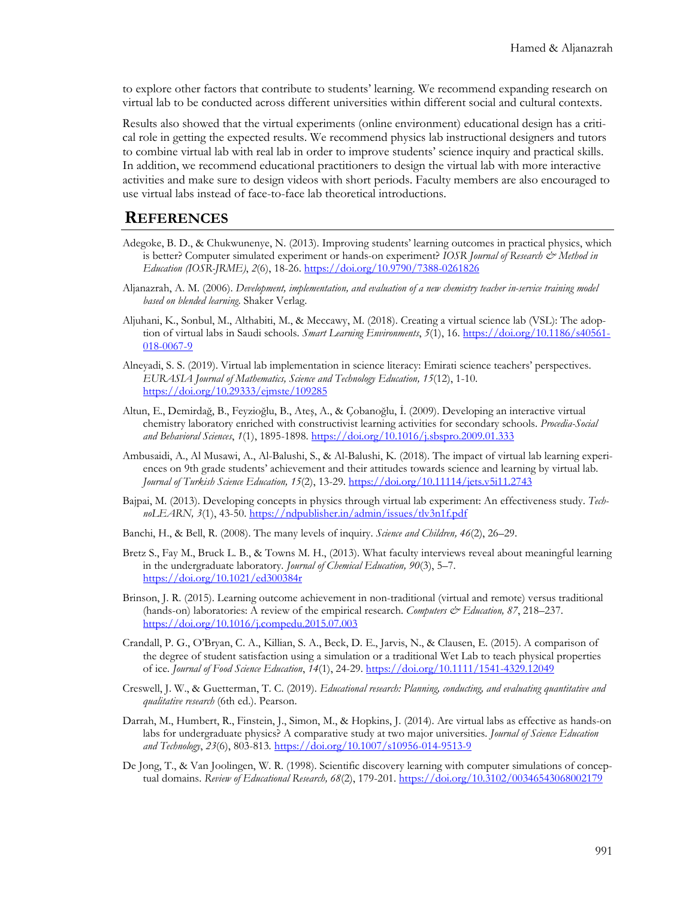to explore other factors that contribute to students' learning. We recommend expanding research on virtual lab to be conducted across different universities within different social and cultural contexts.

Results also showed that the virtual experiments (online environment) educational design has a critical role in getting the expected results. We recommend physics lab instructional designers and tutors to combine virtual lab with real lab in order to improve students' science inquiry and practical skills. In addition, we recommend educational practitioners to design the virtual lab with more interactive activities and make sure to design videos with short periods. Faculty members are also encouraged to use virtual labs instead of face-to-face lab theoretical introductions.

#### **REFERENCES**

- Adegoke, B. D., & Chukwunenye, N. (2013). Improving students' learning outcomes in practical physics, which is better? Computer simulated experiment or hands-on experiment? *IOSR Journal of Research & Method in Education (IOSR-JRME)*, *2*(6), 18-26.<https://doi.org/10.9790/7388-0261826>
- Aljanazrah, A. M. (2006). *Development, implementation, and evaluation of a new chemistry teacher in-service training model based on blended learning*. Shaker Verlag.
- Aljuhani, K., Sonbul, M., Althabiti, M., & Meccawy, M. (2018). Creating a virtual science lab (VSL): The adoption of virtual labs in Saudi schools. *Smart Learning Environments*, *5*(1), 16. [https://doi.org/10.1186/s40561-](https://doi.org/10.1186/s40561-018-0067-9) [018-0067-9](https://doi.org/10.1186/s40561-018-0067-9)
- Alneyadi, S. S. (2019). Virtual lab implementation in science literacy: Emirati science teachers' perspectives. *EURASIA Journal of Mathematics, Science and Technology Education, 15*(12), 1-10. <https://doi.org/10.29333/ejmste/109285>
- Altun, E., Demirdağ, B., Feyzioğlu, B., Ateş, A., & Çobanoğlu, İ. (2009). Developing an interactive virtual chemistry laboratory enriched with constructivist learning activities for secondary schools. *Procedia-Social and Behavioral Sciences*, *1*(1), 1895-1898.<https://doi.org/10.1016/j.sbspro.2009.01.333>
- Ambusaidi, A., Al Musawi, A., Al-Balushi, S., & Al-Balushi, K. (2018). The impact of virtual lab learning experiences on 9th grade students' achievement and their attitudes towards science and learning by virtual lab. *Journal of Turkish Science Education, 15*(2), 13-29. <https://doi.org/10.11114/jets.v5i11.2743>
- Bajpai, M. (2013). Developing concepts in physics through virtual lab experiment: An effectiveness study. *TechnoLEARN, 3*(1), 43-50.<https://ndpublisher.in/admin/issues/tlv3n1f.pdf>
- Banchi, H., & Bell, R. (2008). The many levels of inquiry. *Science and Children, 46*(2), 26–29.
- Bretz S., Fay M., Bruck L. B., & Towns M. H., (2013). What faculty interviews reveal about meaningful learning in the undergraduate laboratory*. Journal of Chemical Education, 90*(3), 5–7. <https://doi.org/10.1021/ed300384r>
- Brinson, J. R. (2015). Learning outcome achievement in non-traditional (virtual and remote) versus traditional (hands-on) laboratories: A review of the empirical research. *Computers & Education*, 87, 218–237. <https://doi.org/10.1016/j.compedu.2015.07.003>
- Crandall, P. G., O'Bryan, C. A., Killian, S. A., Beck, D. E., Jarvis, N., & Clausen, E. (2015). A comparison of the degree of student satisfaction using a simulation or a traditional Wet Lab to teach physical properties of ice*. Journal of Food Science Education*, *14*(1), 24-29. <https://doi.org/10.1111/1541-4329.12049>
- Creswell, J. W., & Guetterman, T. C. (2019). *Educational research: Planning, conducting, and evaluating quantitative and qualitative research* (6th ed.). Pearson.
- Darrah, M., Humbert, R., Finstein, J., Simon, M., & Hopkins, J. (2014). Are virtual labs as effective as hands-on labs for undergraduate physics? A comparative study at two major universities*. Journal of Science Education and Technology*, *23*(6), 803-813*.* <https://doi.org/10.1007/s10956-014-9513-9>
- De Jong, T., & Van Joolingen, W. R. (1998). Scientific discovery learning with computer simulations of conceptual domains. *Review of Educational Research, 68*(2), 179-201. <https://doi.org/10.3102/00346543068002179>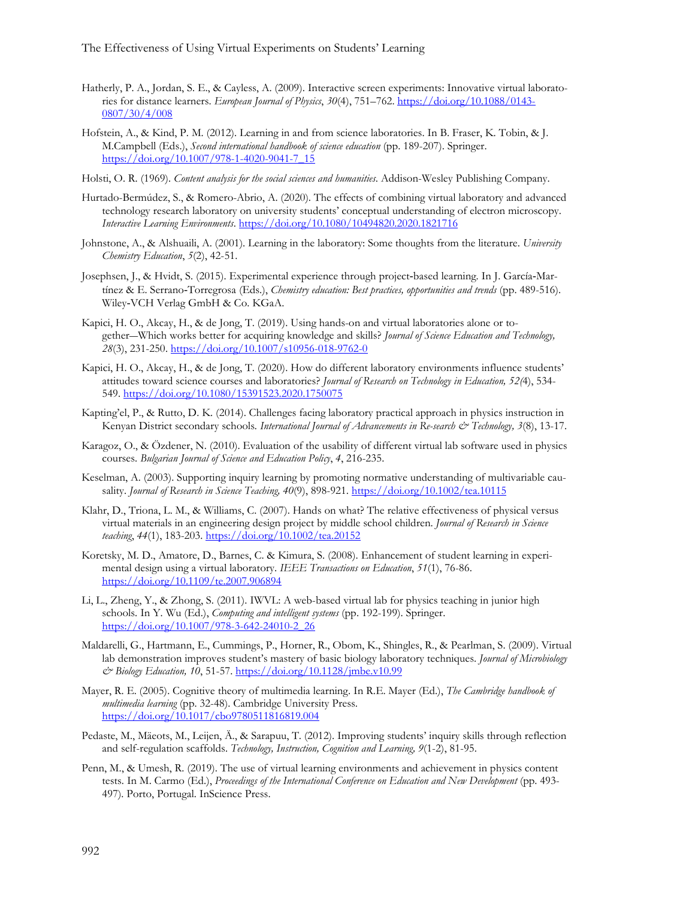- Hatherly, P. A., Jordan, S. E., & Cayless, A. (2009). Interactive screen experiments: Innovative virtual laboratories for distance learners. *European Journal of Physics*, *30*(4), 751–762. [https://doi.org/10.1088/0143-](https://doi.org/10.1088/0143-0807/30/4/008) [0807/30/4/008](https://doi.org/10.1088/0143-0807/30/4/008)
- Hofstein, A., & Kind, P. M. (2012). Learning in and from science laboratories. In B. Fraser, K. Tobin, & J. M.Campbell (Eds.), *Second international handbook of science education* (pp. 189-207). Springer. [https://doi.org/10.1007/978-1-4020-9041-7\\_15](https://doi.org/10.1007/978-1-4020-9041-7_15)
- Holsti, O. R. (1969). *Content analysis for the social sciences and humanities*. Addison-Wesley Publishing Company.
- Hurtado-Bermúdez, S., & Romero-Abrio, A. (2020). The effects of combining virtual laboratory and advanced technology research laboratory on university students' conceptual understanding of electron microscopy. *Interactive Learning Environments*. <https://doi.org/10.1080/10494820.2020.1821716>
- Johnstone, A., & Alshuaili, A. (2001). Learning in the laboratory: Some thoughts from the literature. *University Chemistry Education*, *5*(2), 42-51.
- Josephsen, J., & Hvidt, S. (2015). Experimental experience through project‐based learning*.* In J. García‐Martínez & E. Serrano‐Torregrosa (Eds.), *Chemistry education: Best practices, opportunities and trends* (pp. 489-516). Wiley‐VCH Verlag GmbH & Co. KGaA.
- Kapici, H. O., Akcay, H., & de Jong, T. (2019). Using hands-on and virtual laboratories alone or together―Which works better for acquiring knowledge and skills? *Journal of Science Education and Technology, 28*(3), 231-250.<https://doi.org/10.1007/s10956-018-9762-0>
- Kapici, H. O., Akcay, H., & de Jong, T. (2020). How do different laboratory environments influence students' attitudes toward science courses and laboratories? *Journal of Research on Technology in Education, 52(*4), 534- 549. <https://doi.org/10.1080/15391523.2020.1750075>
- Kapting'el, P., & Rutto, D. K. (2014). Challenges facing laboratory practical approach in physics instruction in Kenyan District secondary schools*. International Journal of Advancements in Re-search & Technology, 3*(8), 13-17.
- Karagoz, O., & Özdener, N. (2010). Evaluation of the usability of different virtual lab software used in physics courses. *Bulgarian Journal of Science and Education Policy*, *4*, 216-235.
- Keselman, A. (2003). Supporting inquiry learning by promoting normative understanding of multivariable causality. *Journal of Research in Science Teaching, 40*(9), 898-921. <https://doi.org/10.1002/tea.10115>
- Klahr, D., Triona, L. M., & Williams, C. (2007). Hands on what? The relative effectiveness of physical versus virtual materials in an engineering design project by middle school children. *Journal of Research in Science teaching*, *44*(1), 183-203.<https://doi.org/10.1002/tea.20152>
- Koretsky, M. D., Amatore, D., Barnes, C. & Kimura, S. (2008). Enhancement of student learning in experimental design using a virtual laboratory. *IEEE Transactions on Education*, *51*(1), 76-86. <https://doi.org/10.1109/te.2007.906894>
- Li, L., Zheng, Y., & Zhong, S. (2011). IWVL: A web-based virtual lab for physics teaching in junior high schools. In Y. Wu (Ed.), *Computing and intelligent systems* (pp. 192-199). Springer. [https://doi.org/10.1007/978-3-642-24010-2\\_26](https://doi.org/10.1007/978-3-642-24010-2_26)
- Maldarelli, G., Hartmann, E., Cummings, P., Horner, R., Obom, K., Shingles, R., & Pearlman, S. (2009). Virtual lab demonstration improves student's mastery of basic biology laboratory techniques. *Journal of Microbiology & Biology Education, 10*, 51-57[. https://doi.org/10.1128/jmbe.v10.99](https://doi.org/10.1128/jmbe.v10.99)
- Mayer, R. E. (2005). Cognitive theory of multimedia learning. In R.E. Mayer (Ed.), *The Cambridge handbook of multimedia learning* (pp. 32-48). Cambridge University Press. <https://doi.org/10.1017/cbo9780511816819.004>
- Pedaste, M., Mäeots, M., Leijen, Ä., & Sarapuu, T. (2012). Improving students' inquiry skills through reflection and self-regulation scaffolds. *Technology, Instruction, Cognition and Learning, 9*(1-2), 81-95.
- Penn, M., & Umesh, R. (2019). The use of virtual learning environments and achievement in physics content tests. In M. Carmo (Ed.), *Proceedings of the International Conference on Education and New Development* (pp. 493- 497). Porto, Portugal. InScience Press.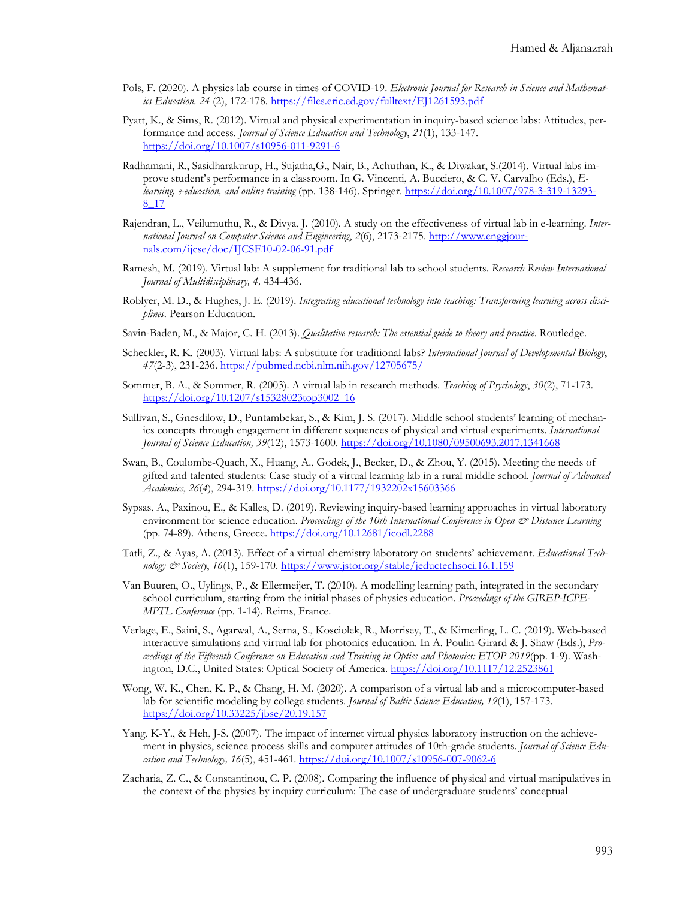- Pols, F. (2020). A physics lab course in times of COVID-19. *Electronic Journal for Research in Science and Mathematics Education. 24* (2), 172-178. <https://files.eric.ed.gov/fulltext/EJ1261593.pdf>
- Pyatt, K., & Sims, R. (2012). Virtual and physical experimentation in inquiry-based science labs: Attitudes, performance and access. *Journal of Science Education and Technology*, *21*(1), 133-147. <https://doi.org/10.1007/s10956-011-9291-6>
- Radhamani, R., Sasidharakurup, H., Sujatha,G., Nair, B., Achuthan, K., & Diwakar, S.(2014). Virtual labs improve student's performance in a classroom. In G. Vincenti, A. Bucciero, & C. V. Carvalho (Eds.), *Elearning, e-education, and online training* (pp. 138-146). Springer. [https://doi.org/10.1007/978-3-319-13293-](https://doi.org/10.1007/978-3-319-13293-8_17) [8\\_17](https://doi.org/10.1007/978-3-319-13293-8_17)
- Rajendran, L., Veilumuthu, R., & Divya, J. (2010). A study on the effectiveness of virtual lab in e-learning. *International Journal on Computer Science and Engineering*, *2*(6), 2173-2175. http://www.enggjournals.com/ijcse/doc/IJCSE10-02-06-91.pdf
- Ramesh, M. (2019). Virtual lab: A supplement for traditional lab to school students. *Research Review International Journal of Multidisciplinary, 4,* 434-436.
- Roblyer, M. D., & Hughes, J. E. (2019). *Integrating educational technology into teaching: Transforming learning across disciplines*. Pearson Education.
- Savin-Baden, M., & Major, C. H. (2013). *Qualitative research: The essential guide to theory and practice*. Routledge.
- Scheckler, R. K. (2003). Virtual labs: A substitute for traditional labs? *International Journal of Developmental Biology*, *47*(2-3), 231-236.<https://pubmed.ncbi.nlm.nih.gov/12705675/>
- Sommer, B. A., & Sommer, R. (2003). A virtual lab in research methods. *Teaching of Psychology*, *30*(2), 71-173. [https://doi.org/10.1207/s15328023top3002\\_16](https://doi.org/10.1207/s15328023top3002_16)
- Sullivan, S., Gnesdilow, D., Puntambekar, S., & Kim, J. S. (2017). Middle school students' learning of mechanics concepts through engagement in different sequences of physical and virtual experiments. *International Journal of Science Education, 39*(12), 1573-1600. <https://doi.org/10.1080/09500693.2017.1341668>
- Swan, B., Coulombe-Quach, X., Huang, A., Godek, J., Becker, D., & Zhou, Y. (2015). Meeting the needs of gifted and talented students: Case study of a virtual learning lab in a rural middle school. *Journal of Advanced Academics*, *26*(*4*), 294-319[. https://doi.org/10.1177/1932202x15603366](https://doi.org/10.1177/1932202x15603366)
- Sypsas, A., Paxinou, E., & Kalles, D. (2019). Reviewing inquiry-based learning approaches in virtual laboratory environment for science education. *Proceedings of the 10th International Conference in Open & Distance Learning* (pp. 74-89). Athens, Greece. <https://doi.org/10.12681/icodl.2288>
- Tatli, Z., & Ayas, A. (2013). Effect of a virtual chemistry laboratory on students' achievement. *Educational Technology & Society*, *16*(1), 159-170[. https://www.jstor.org/stable/jeductechsoci.16.1.159](https://www.jstor.org/stable/jeductechsoci.16.1.159)
- Van Buuren, O., Uylings, P., & Ellermeijer, T. (2010). A modelling learning path, integrated in the secondary school curriculum, starting from the initial phases of physics education. *Proceedings of the GIREP-ICPE-MPTL Conference* (pp. 1-14). Reims, France.
- Verlage, E., Saini, S., Agarwal, A., Serna, S., Kosciolek, R., Morrisey, T., & Kimerling, L. C. (2019). Web-based interactive simulations and virtual lab for photonics education. In A. Poulin-Girard & J. Shaw (Eds.), *Proceedings of the Fifteenth Conference on Education and Training in Optics and Photonics: ETOP 2019*(pp. 1-9). Washington, D.C., United States: Optical Society of America.<https://doi.org/10.1117/12.2523861>
- Wong, W. K., Chen, K. P., & Chang, H. M. (2020). A comparison of a virtual lab and a microcomputer-based lab for scientific modeling by college students. *Journal of Baltic Science Education, 19*(1), 157-173. <https://doi.org/10.33225/jbse/20.19.157>
- Yang, K-Y., & Heh, J-S. (2007). The impact of internet virtual physics laboratory instruction on the achievement in physics, science process skills and computer attitudes of 10th-grade students. *Journal of Science Education and Technology, 16*(5), 451-461[. https://doi.org/10.1007/s10956-007-9062-6](https://doi.org/10.1007/s10956-007-9062-6)
- Zacharia, Z. C., & Constantinou, C. P. (2008). Comparing the influence of physical and virtual manipulatives in the context of the physics by inquiry curriculum: The case of undergraduate students' conceptual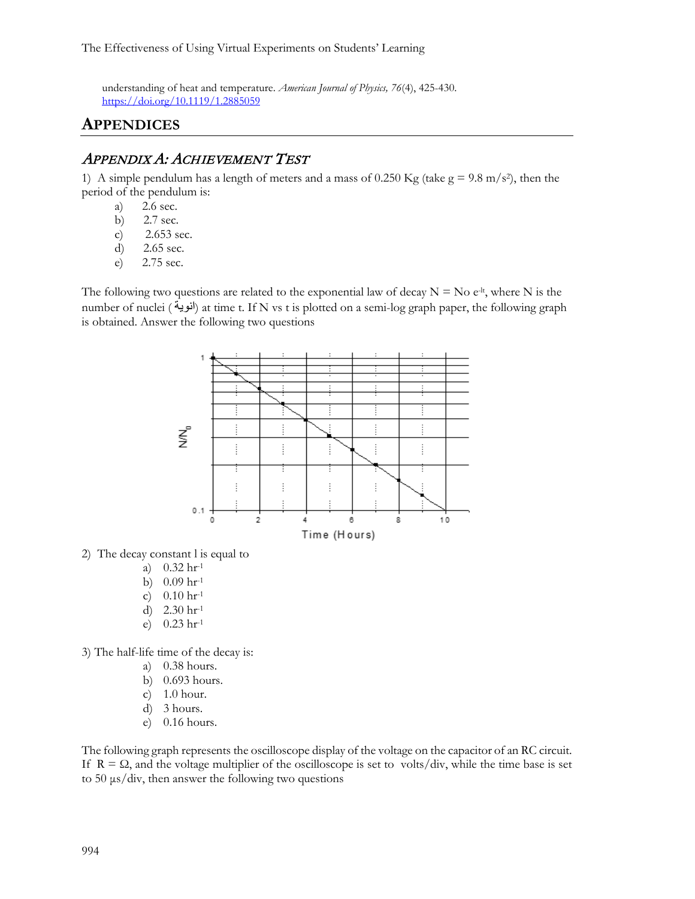understanding of heat and temperature. *American Journal of Physics, 76*(4), 425-430. <https://doi.org/10.1119/1.2885059>

## **APPENDICES**

#### APPENDIX A: ACHIEVEMENT TEST

1) A simple pendulum has a length of meters and a mass of 0.250 Kg (take  $g = 9.8$  m/s<sup>2</sup>), then the period of the pendulum is:

- a) 2.6 sec.
- b) 2.7 sec.
- c) 2.653 sec.
- d) 2.65 sec.
- e) 2.75 sec.

The following two questions are related to the exponential law of decay  $N = No e^{-lt}$ , where N is the number of nuclei ( انویة) at time t. If N vs t is plotted on a semi-log graph paper, the following graph is obtained. Answer the following two questions



2) The decay constant l is equal to

- a) 0.32 hr-1
- b)  $0.09$  hr<sup>-1</sup>
- c)  $0.10 \text{ hr}^{-1}$
- d) 2.30 hr-1
- e) 0.23 hr-1

3) The half-life time of the decay is:

- a) 0.38 hours.
- b) 0.693 hours.
- c) 1.0 hour.
- d) 3 hours.
- e) 0.16 hours.

The following graph represents the oscilloscope display of the voltage on the capacitor of an RC circuit. If  $R = \Omega$ , and the voltage multiplier of the oscilloscope is set to volts/div, while the time base is set to 50 μs/div, then answer the following two questions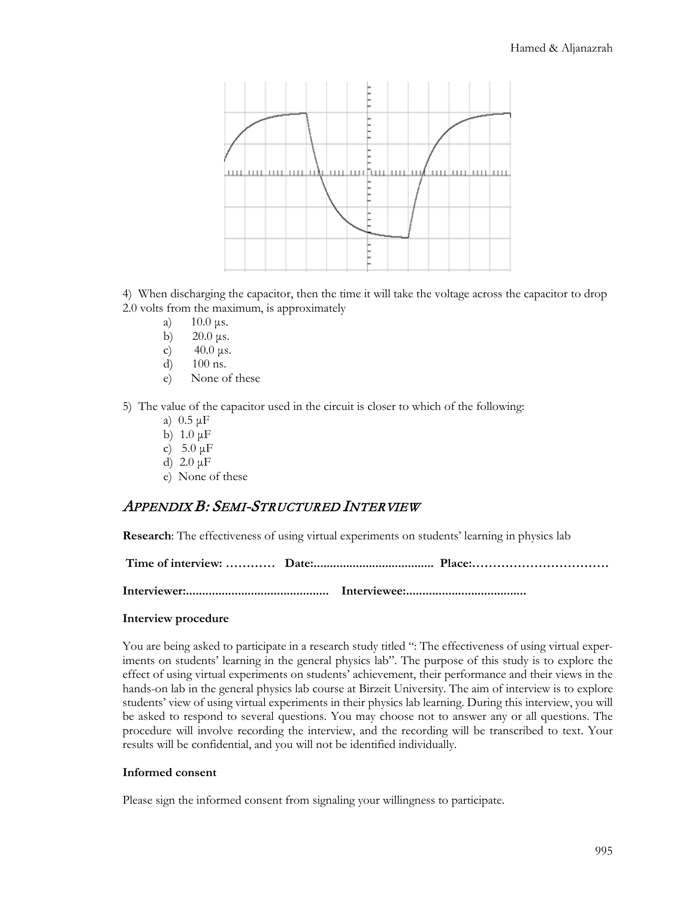

4) When discharging the capacitor, then the time it will take the voltage across the capacitor to drop 2.0 volts from the maximum, is approximately

- a) 10.0 μs.
- b)  $20.0 \,\mu s$ .
- c)  $40.0 \,\mu s$ .
- d) 100 ns.
- e) None of these

5) The value of the capacitor used in the circuit is closer to which of the following:

- a) 0.5 μF
- b)  $1.0 \mu F$
- c)  $5.0 \mu$ F
- d) 2.0 μF
- e) None of these

#### APPENDIX B: SEMI-STRUCTURED INTERVIEW

**Research**: The effectiveness of using virtual experiments on students' learning in physics lab

|--|--|--|

**Interviewer:............................................ Interviewee:.....................................**

#### **Interview procedure**

You are being asked to participate in a research study titled ": The effectiveness of using virtual experiments on students' learning in the general physics lab". The purpose of this study is to explore the effect of using virtual experiments on students' achievement, their performance and their views in the hands-on lab in the general physics lab course at Birzeit University. The aim of interview is to explore students' view of using virtual experiments in their physics lab learning. During this interview, you will be asked to respond to several questions. You may choose not to answer any or all questions. The procedure will involve recording the interview, and the recording will be transcribed to text. Your results will be confidential, and you will not be identified individually.

#### **Informed consent**

Please sign the informed consent from signaling your willingness to participate.